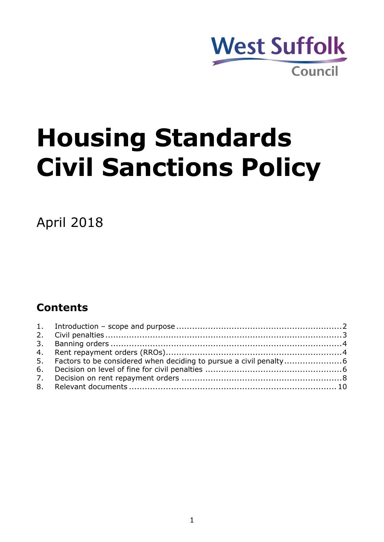

# **Housing Standards Civil Sanctions Policy**

April 2018

## **Contents**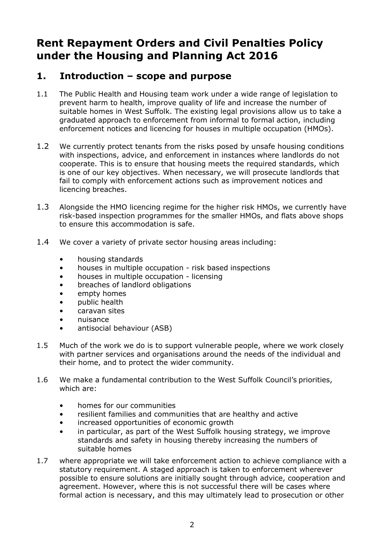## **Rent Repayment Orders and Civil Penalties Policy under the Housing and Planning Act 2016**

#### <span id="page-1-0"></span>**1. Introduction – scope and purpose**

- 1.1 The Public Health and Housing team work under a wide range of legislation to prevent harm to health, improve quality of life and increase the number of suitable homes in West Suffolk. The existing legal provisions allow us to take a graduated approach to enforcement from informal to formal action, including enforcement notices and licencing for houses in multiple occupation (HMOs).
- 1.2 We currently protect tenants from the risks posed by unsafe housing conditions with inspections, advice, and enforcement in instances where landlords do not cooperate. This is to ensure that housing meets the required standards, which is one of our key objectives. When necessary, we will prosecute landlords that fail to comply with enforcement actions such as improvement notices and licencing breaches.
- 1.3 Alongside the HMO licencing regime for the higher risk HMOs, we currently have risk-based inspection programmes for the smaller HMOs, and flats above shops to ensure this accommodation is safe.
- 1.4 We cover a variety of private sector housing areas including:
	- housing standards
	- houses in multiple occupation risk based inspections
	- houses in multiple occupation licensing
	- breaches of landlord obligations
	- empty homes
	- public health
	- caravan sites
	- nuisance
	- antisocial behaviour (ASB)
- 1.5 Much of the work we do is to support vulnerable people, where we work closely with partner services and organisations around the needs of the individual and their home, and to protect the wider community.
- 1.6 We make a fundamental contribution to the West Suffolk Council's priorities, which are:
	- homes for our communities
	- resilient families and communities that are healthy and active
	- increased opportunities of economic growth
	- in particular, as part of the West Suffolk housing strategy, we improve standards and safety in housing thereby increasing the numbers of suitable homes
- 1.7 where appropriate we will take enforcement action to achieve compliance with a statutory requirement. A staged approach is taken to enforcement wherever possible to ensure solutions are initially sought through advice, cooperation and agreement. However, where this is not successful there will be cases where formal action is necessary, and this may ultimately lead to prosecution or other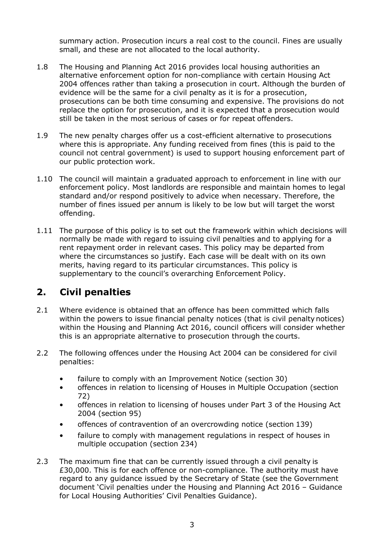summary action. Prosecution incurs a real cost to the council. Fines are usually small, and these are not allocated to the local authority.

- 1.8 The Housing and Planning Act 2016 provides local housing authorities an alternative enforcement option for non-compliance with certain Housing Act 2004 offences rather than taking a prosecution in court. Although the burden of evidence will be the same for a civil penalty as it is for a prosecution, prosecutions can be both time consuming and expensive. The provisions do not replace the option for prosecution, and it is expected that a prosecution would still be taken in the most serious of cases or for repeat offenders.
- 1.9 The new penalty charges offer us a cost-efficient alternative to prosecutions where this is appropriate. Any funding received from fines (this is paid to the council not central government) is used to support housing enforcement part of our public protection work.
- 1.10 The council will maintain a graduated approach to enforcement in line with our enforcement policy. Most landlords are responsible and maintain homes to legal standard and/or respond positively to advice when necessary. Therefore, the number of fines issued per annum is likely to be low but will target the worst offending.
- 1.11 The purpose of this policy is to set out the framework within which decisions will normally be made with regard to issuing civil penalties and to applying for a rent repayment order in relevant cases. This policy may be departed from where the circumstances so justify. Each case will be dealt with on its own merits, having regard to its particular circumstances. This policy is supplementary to the council's overarching Enforcement Policy.

### <span id="page-2-0"></span>**2. Civil penalties**

- 2.1 Where evidence is obtained that an offence has been committed which falls within the powers to issue financial penalty notices (that is civil penalty notices) within the Housing and Planning Act 2016, council officers will consider whether this is an appropriate alternative to prosecution through the courts.
- 2.2 The following offences under the Housing Act 2004 can be considered for civil penalties:
	- failure to comply with an Improvement Notice (section 30)
	- offences in relation to licensing of Houses in Multiple Occupation (section 72)
	- offences in relation to licensing of houses under Part 3 of the Housing Act 2004 (section 95)
	- offences of contravention of an overcrowding notice (section 139)
	- failure to comply with management regulations in respect of houses in multiple occupation (section 234)
- 2.3 The maximum fine that can be currently issued through a civil penalty is £30,000. This is for each offence or non-compliance. The authority must have regard to any guidance issued by the Secretary of State (see the Government document 'Civil penalties under the Housing and Planning Act 2016 – Guidance for Local Housing Authorities' Civil Penalties Guidance).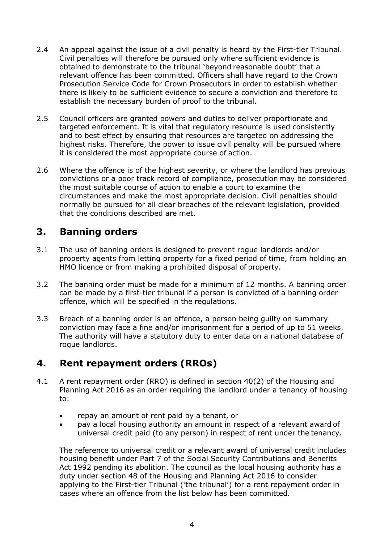- 2.4 An appeal against the issue of a civil penalty is heard by the First-tier Tribunal. Civil penalties will therefore be pursued only where sufficient evidence is obtained to demonstrate to the tribunal 'beyond reasonable doubt' that a relevant offence has been committed. Officers shall have regard to the Crown Prosecution Service Code for Crown Prosecutors in order to establish whether there is likely to be sufficient evidence to secure a conviction and therefore to establish the necessary burden of proof to the tribunal.
- 2.5 Council officers are granted powers and duties to deliver proportionate and targeted enforcement. It is vital that regulatory resource is used consistently and to best effect by ensuring that resources are targeted on addressing the highest risks. Therefore, the power to issue civil penalty will be pursued where it is considered the most appropriate course of action.
- 2.6 Where the offence is of the highest severity, or where the landlord has previous convictions or a poor track record of compliance, prosecution may be considered the most suitable course of action to enable a court to examine the circumstances and make the most appropriate decision. Civil penalties should normally be pursued for all clear breaches of the relevant legislation, provided that the conditions described are met.

#### <span id="page-3-0"></span>**3. Banning orders**

- 3.1 The use of banning orders is designed to prevent rogue landlords and/or property agents from letting property for a fixed period of time, from holding an HMO licence or from making a prohibited disposal of property.
- 3.2 The banning order must be made for a minimum of 12 months. A banning order can be made by a first-tier tribunal if a person is convicted of a banning order offence, which will be specified in the regulations.
- 3.3 Breach of a banning order is an offence, a person being guilty on summary conviction may face a fine and/or imprisonment for a period of up to 51 weeks. The authority will have a statutory duty to enter data on a national database of rogue landlords.

#### <span id="page-3-1"></span>**4. Rent repayment orders (RROs)**

- 4.1 A rent repayment order (RRO) is defined in section 40(2) of the Housing and Planning Act 2016 as an order requiring the landlord under a tenancy of housing to:
	- repay an amount of rent paid by a tenant, or
	- pay a local housing authority an amount in respect of a relevant award of universal credit paid (to any person) in respect of rent under the tenancy.

The reference to universal credit or a relevant award of universal credit includes housing benefit under Part 7 of the Social Security Contributions and Benefits Act 1992 pending its abolition. The council as the local housing authority has a duty under section 48 of the Housing and Planning Act 2016 to consider applying to the First-tier Tribunal ('the tribunal') for a rent repayment order in cases where an offence from the list below has been committed.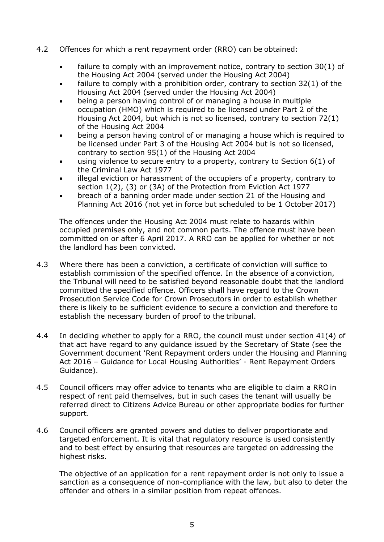- 4.2 Offences for which a rent repayment order (RRO) can be obtained:
	- failure to comply with an improvement notice, contrary to section 30(1) of the Housing Act 2004 (served under the Housing Act 2004)
	- failure to comply with a prohibition order, contrary to section  $32(1)$  of the Housing Act 2004 (served under the Housing Act 2004)
	- being a person having control of or managing a house in multiple occupation (HMO) which is required to be licensed under Part 2 of the Housing Act 2004, but which is not so licensed, contrary to section 72(1) of the Housing Act 2004
	- being a person having control of or managing a house which is required to be licensed under Part 3 of the Housing Act 2004 but is not so licensed, contrary to section 95(1) of the Housing Act 2004
	- using violence to secure entry to a property, contrary to Section  $6(1)$  of the Criminal Law Act 1977
	- illegal eviction or harassment of the occupiers of a property, contrary to section 1(2), (3) or (3A) of the Protection from Eviction Act 1977
	- breach of a banning order made under section 21 of the Housing and Planning Act 2016 (not yet in force but scheduled to be 1 October 2017)

The offences under the Housing Act 2004 must relate to hazards within occupied premises only, and not common parts. The offence must have been committed on or after 6 April 2017. A RRO can be applied for whether or not the landlord has been convicted.

- 4.3 Where there has been a conviction, a certificate of conviction will suffice to establish commission of the specified offence. In the absence of a conviction, the Tribunal will need to be satisfied beyond reasonable doubt that the landlord committed the specified offence. Officers shall have regard to the Crown Prosecution Service Code for Crown Prosecutors in order to establish whether there is likely to be sufficient evidence to secure a conviction and therefore to establish the necessary burden of proof to the tribunal.
- 4.4 In deciding whether to apply for a RRO, the council must under section 41(4) of that act have regard to any guidance issued by the Secretary of State (see the Government document 'Rent Repayment orders under the Housing and Planning Act 2016 – Guidance for Local Housing Authorities' - Rent Repayment Orders Guidance).
- 4.5 Council officers may offer advice to tenants who are eligible to claim a RRO in respect of rent paid themselves, but in such cases the tenant will usually be referred direct to Citizens Advice Bureau or other appropriate bodies for further support.
- 4.6 Council officers are granted powers and duties to deliver proportionate and targeted enforcement. It is vital that regulatory resource is used consistently and to best effect by ensuring that resources are targeted on addressing the highest risks.

The objective of an application for a rent repayment order is not only to issue a sanction as a consequence of non-compliance with the law, but also to deter the offender and others in a similar position from repeat offences.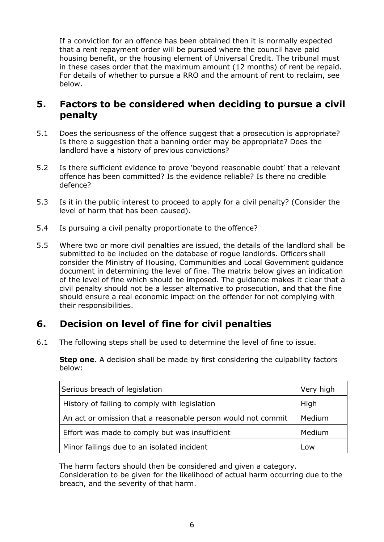If a conviction for an offence has been obtained then it is normally expected that a rent repayment order will be pursued where the council have paid housing benefit, or the housing element of Universal Credit. The tribunal must in these cases order that the maximum amount (12 months) of rent be repaid. For details of whether to pursue a RRO and the amount of rent to reclaim, see below.

#### <span id="page-5-0"></span>**5. Factors to be considered when deciding to pursue a civil penalty**

- 5.1 Does the seriousness of the offence suggest that a prosecution is appropriate? Is there a suggestion that a banning order may be appropriate? Does the landlord have a history of previous convictions?
- 5.2 Is there sufficient evidence to prove 'beyond reasonable doubt' that a relevant offence has been committed? Is the evidence reliable? Is there no credible defence?
- 5.3 Is it in the public interest to proceed to apply for a civil penalty? (Consider the level of harm that has been caused).
- 5.4 Is pursuing a civil penalty proportionate to the offence?
- 5.5 Where two or more civil penalties are issued, the details of the landlord shall be submitted to be included on the database of rogue landlords. Officers shall consider the Ministry of Housing, Communities and Local Government guidance document in determining the level of fine. The matrix below gives an indication of the level of fine which should be imposed. The guidance makes it clear that a civil penalty should not be a lesser alternative to prosecution, and that the fine should ensure a real economic impact on the offender for not complying with their responsibilities.

### <span id="page-5-1"></span>**6. Decision on level of fine for civil penalties**

6.1 The following steps shall be used to determine the level of fine to issue.

**Step one**. A decision shall be made by first considering the culpability factors below:

| Serious breach of legislation                                | Very high |
|--------------------------------------------------------------|-----------|
| History of failing to comply with legislation                | High      |
| An act or omission that a reasonable person would not commit | Medium    |
| Effort was made to comply but was insufficient               | Medium    |
| Minor failings due to an isolated incident                   | Low       |

The harm factors should then be considered and given a category. Consideration to be given for the likelihood of actual harm occurring due to the breach, and the severity of that harm.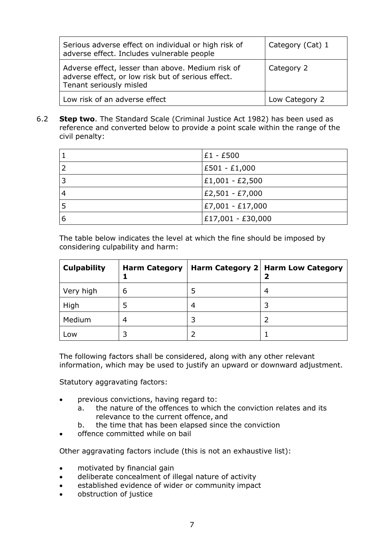| Serious adverse effect on individual or high risk of<br>adverse effect. Includes vulnerable people                                 | Category (Cat) 1 |
|------------------------------------------------------------------------------------------------------------------------------------|------------------|
| Adverse effect, lesser than above. Medium risk of<br>adverse effect, or low risk but of serious effect.<br>Tenant seriously misled | Category 2       |
| Low risk of an adverse effect                                                                                                      | Low Category 2   |

#### 6.2 **Step two**. The Standard Scale (Criminal Justice Act 1982) has been used as reference and converted below to provide a point scale within the range of the civil penalty:

|   | £1 - £500          |
|---|--------------------|
|   | E501 - £1,000      |
| 3 | $ £1,001 - £2,500$ |
|   | £2,501 - £7,000    |
|   | E7,001 - £17,000   |
| 6 | £17,001 - £30,000  |

The table below indicates the level at which the fine should be imposed by considering culpability and harm:

| <b>Culpability</b> | <b>Harm Category</b> |   | Harm Category 2   Harm Low Category |
|--------------------|----------------------|---|-------------------------------------|
| Very high          | 6                    | 5 | 4                                   |
| High               |                      | 4 |                                     |
| Medium             | 4                    |   |                                     |
| Low                |                      |   |                                     |

The following factors shall be considered, along with any other relevant information, which may be used to justify an upward or downward adjustment.

Statutory aggravating factors:

- previous convictions, having regard to:
	- a. the nature of the offences to which the conviction relates and its relevance to the current offence, and
	- b. the time that has been elapsed since the conviction
- offence committed while on bail

Other aggravating factors include (this is not an exhaustive list):

- motivated by financial gain
- deliberate concealment of illegal nature of activity
- established evidence of wider or community impact
- obstruction of justice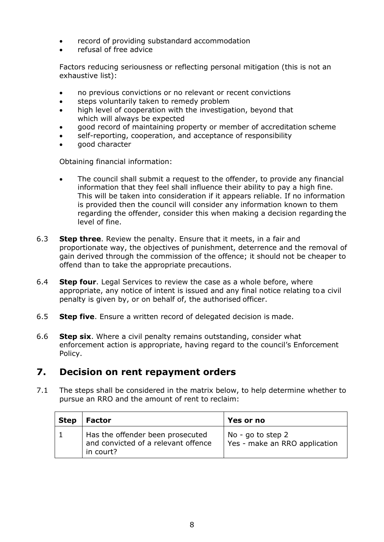- record of providing substandard accommodation
- refusal of free advice

Factors reducing seriousness or reflecting personal mitigation (this is not an exhaustive list):

- no previous convictions or no relevant or recent convictions
- steps voluntarily taken to remedy problem
- high level of cooperation with the investigation, beyond that which will always be expected
- good record of maintaining property or member of accreditation scheme
- self-reporting, cooperation, and acceptance of responsibility
- good character

Obtaining financial information:

- The council shall submit a request to the offender, to provide any financial information that they feel shall influence their ability to pay a high fine. This will be taken into consideration if it appears reliable. If no information is provided then the council will consider any information known to them regarding the offender, consider this when making a decision regarding the level of fine.
- 6.3 **Step three**. Review the penalty. Ensure that it meets, in a fair and proportionate way, the objectives of punishment, deterrence and the removal of gain derived through the commission of the offence; it should not be cheaper to offend than to take the appropriate precautions.
- 6.4 **Step four**. Legal Services to review the case as a whole before, where appropriate, any notice of intent is issued and any final notice relating toa civil penalty is given by, or on behalf of, the authorised officer.
- 6.5 **Step five**. Ensure a written record of delegated decision is made.
- 6.6 **Step six**. Where a civil penalty remains outstanding, consider what enforcement action is appropriate, having regard to the council's Enforcement Policy.

### <span id="page-7-0"></span>**7. Decision on rent repayment orders**

7.1 The steps shall be considered in the matrix below, to help determine whether to pursue an RRO and the amount of rent to reclaim:

| <b>Step</b> | Factor                                                                               | <b>Yes or no</b>                                     |
|-------------|--------------------------------------------------------------------------------------|------------------------------------------------------|
|             | Has the offender been prosecuted<br>and convicted of a relevant offence<br>in court? | No - go to step $2$<br>Yes - make an RRO application |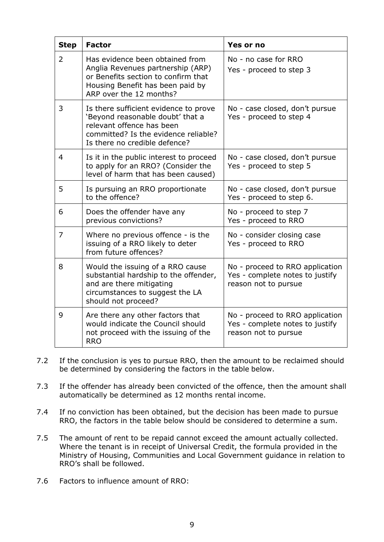| <b>Step</b>    | <b>Factor</b>                                                                                                                                                                   | Yes or no                                                                                  |
|----------------|---------------------------------------------------------------------------------------------------------------------------------------------------------------------------------|--------------------------------------------------------------------------------------------|
| $\overline{2}$ | Has evidence been obtained from<br>Anglia Revenues partnership (ARP)<br>or Benefits section to confirm that<br>Housing Benefit has been paid by<br>ARP over the 12 months?      | No - no case for RRO<br>Yes - proceed to step 3                                            |
| 3              | Is there sufficient evidence to prove<br>'Beyond reasonable doubt' that a<br>relevant offence has been<br>committed? Is the evidence reliable?<br>Is there no credible defence? | No - case closed, don't pursue<br>Yes - proceed to step 4                                  |
| 4              | Is it in the public interest to proceed<br>to apply for an RRO? (Consider the<br>level of harm that has been caused)                                                            | No - case closed, don't pursue<br>Yes - proceed to step 5                                  |
| 5              | Is pursuing an RRO proportionate<br>to the offence?                                                                                                                             | No - case closed, don't pursue<br>Yes - proceed to step 6.                                 |
| 6              | Does the offender have any<br>previous convictions?                                                                                                                             | No - proceed to step 7<br>Yes - proceed to RRO                                             |
| 7              | Where no previous offence - is the<br>issuing of a RRO likely to deter<br>from future offences?                                                                                 | No - consider closing case<br>Yes - proceed to RRO                                         |
| 8              | Would the issuing of a RRO cause<br>substantial hardship to the offender,<br>and are there mitigating<br>circumstances to suggest the LA<br>should not proceed?                 | No - proceed to RRO application<br>Yes - complete notes to justify<br>reason not to pursue |
| 9              | Are there any other factors that<br>would indicate the Council should<br>not proceed with the issuing of the<br><b>RRO</b>                                                      | No - proceed to RRO application<br>Yes - complete notes to justify<br>reason not to pursue |

- 7.2 If the conclusion is yes to pursue RRO, then the amount to be reclaimed should be determined by considering the factors in the table below.
- 7.3 If the offender has already been convicted of the offence, then the amount shall automatically be determined as 12 months rental income.
- 7.4 If no conviction has been obtained, but the decision has been made to pursue RRO, the factors in the table below should be considered to determine a sum.
- 7.5 The amount of rent to be repaid cannot exceed the amount actually collected. Where the tenant is in receipt of Universal Credit, the formula provided in the Ministry of Housing, Communities and Local Government guidance in relation to RRO's shall be followed.
- 7.6 Factors to influence amount of RRO: